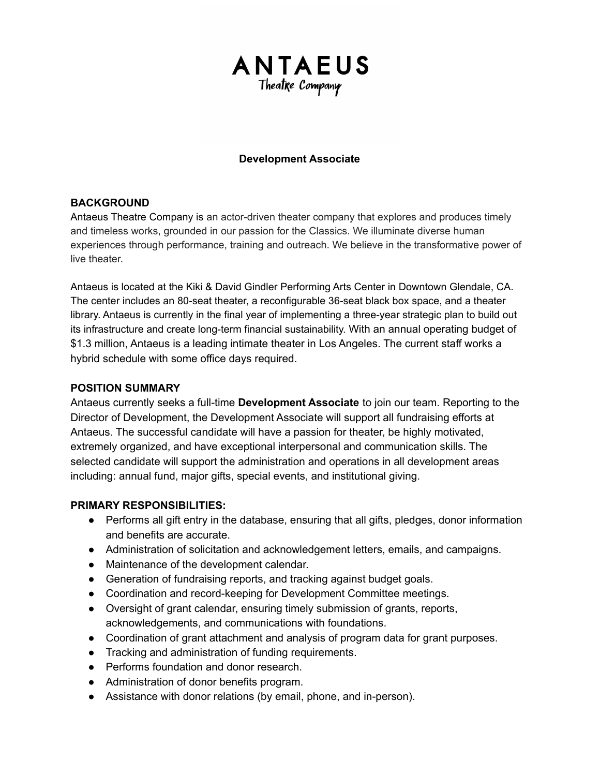

## **Development Associate**

## **BACKGROUND**

Antaeus Theatre Company is an actor-driven theater company that explores and produces timely and timeless works, grounded in our passion for the Classics. We illuminate diverse human experiences through performance, training and outreach. We believe in the transformative power of live theater.

Antaeus is located at the Kiki & David Gindler Performing Arts Center in Downtown Glendale, CA. The center includes an 80-seat theater, a reconfigurable 36-seat black box space, and a theater library. Antaeus is currently in the final year of implementing a three-year strategic plan to build out its infrastructure and create long-term financial sustainability. With an annual operating budget of \$1.3 million, Antaeus is a leading intimate theater in Los Angeles. The current staff works a hybrid schedule with some office days required.

### **POSITION SUMMARY**

Antaeus currently seeks a full-time **Development Associate** to join our team. Reporting to the Director of Development, the Development Associate will support all fundraising efforts at Antaeus. The successful candidate will have a passion for theater, be highly motivated, extremely organized, and have exceptional interpersonal and communication skills. The selected candidate will support the administration and operations in all development areas including: annual fund, major gifts, special events, and institutional giving.

#### **PRIMARY RESPONSIBILITIES:**

- Performs all gift entry in the database, ensuring that all gifts, pledges, donor information and benefits are accurate.
- Administration of solicitation and acknowledgement letters, emails, and campaigns.
- Maintenance of the development calendar.
- Generation of fundraising reports, and tracking against budget goals.
- Coordination and record-keeping for Development Committee meetings.
- Oversight of grant calendar, ensuring timely submission of grants, reports, acknowledgements, and communications with foundations.
- Coordination of grant attachment and analysis of program data for grant purposes.
- Tracking and administration of funding requirements.
- Performs foundation and donor research.
- Administration of donor benefits program.
- Assistance with donor relations (by email, phone, and in-person).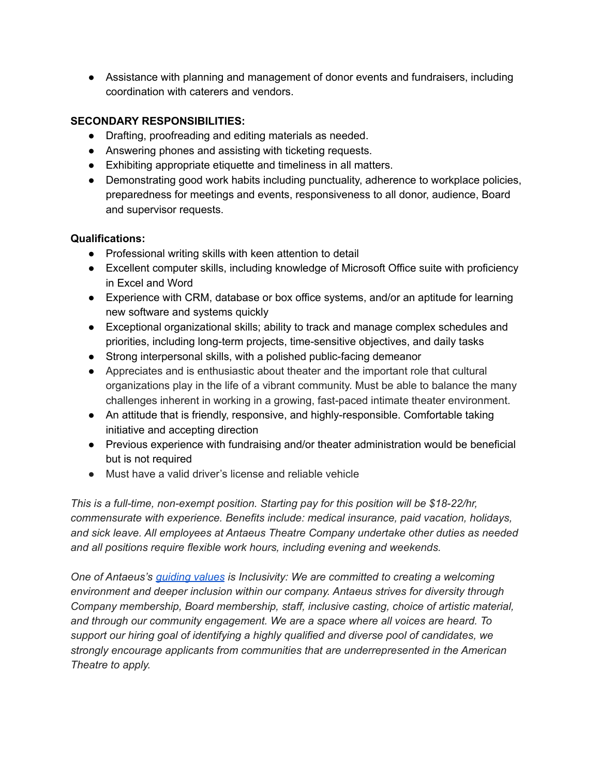● Assistance with planning and management of donor events and fundraisers, including coordination with caterers and vendors.

# **SECONDARY RESPONSIBILITIES:**

- Drafting, proofreading and editing materials as needed.
- Answering phones and assisting with ticketing requests.
- Exhibiting appropriate etiquette and timeliness in all matters.
- Demonstrating good work habits including punctuality, adherence to workplace policies, preparedness for meetings and events, responsiveness to all donor, audience, Board and supervisor requests.

## **Qualifications:**

- Professional writing skills with keen attention to detail
- Excellent computer skills, including knowledge of Microsoft Office suite with proficiency in Excel and Word
- Experience with CRM, database or box office systems, and/or an aptitude for learning new software and systems quickly
- Exceptional organizational skills; ability to track and manage complex schedules and priorities, including long-term projects, time-sensitive objectives, and daily tasks
- Strong interpersonal skills, with a polished public-facing demeanor
- Appreciates and is enthusiastic about theater and the important role that cultural organizations play in the life of a vibrant community. Must be able to balance the many challenges inherent in working in a growing, fast-paced intimate theater environment.
- An attitude that is friendly, responsive, and highly-responsible. Comfortable taking initiative and accepting direction
- Previous experience with fundraising and/or theater administration would be beneficial but is not required
- Must have a valid driver's license and reliable vehicle

*This is a full-time, non-exempt position. Starting pay for this position will be \$18-22/hr, commensurate with experience. Benefits include: medical insurance, paid vacation, holidays, and sick leave. All employees at Antaeus Theatre Company undertake other duties as needed and all positions require flexible work hours, including evening and weekends.*

*One of Antaeus's [guiding](https://antaeus.org/about-antaeus/antaeus-history-mission-2/) values is Inclusivity: We are committed to creating a welcoming environment and deeper inclusion within our company. Antaeus strives for diversity through Company membership, Board membership, staff, inclusive casting, choice of artistic material, and through our community engagement. We are a space where all voices are heard. To support our hiring goal of identifying a highly qualified and diverse pool of candidates, we strongly encourage applicants from communities that are underrepresented in the American Theatre to apply.*